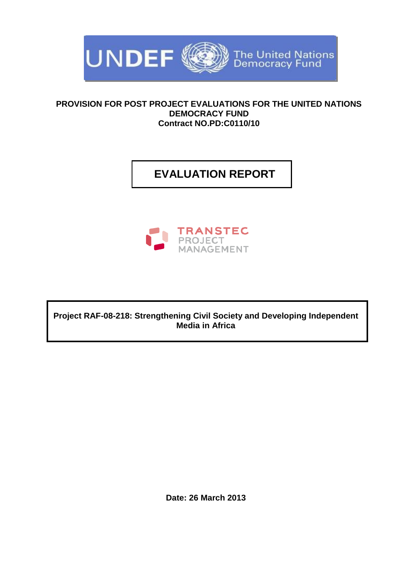

### **PROVISION FOR POST PROJECT EVALUATIONS FOR THE UNITED NATIONS DEMOCRACY FUND Contract NO.PD:C0110/10**

# **EVALUATION REPORT**



**Project RAF-08-218: Strengthening Civil Society and Developing Independent Media in Africa**

**Date: 26 March 2013**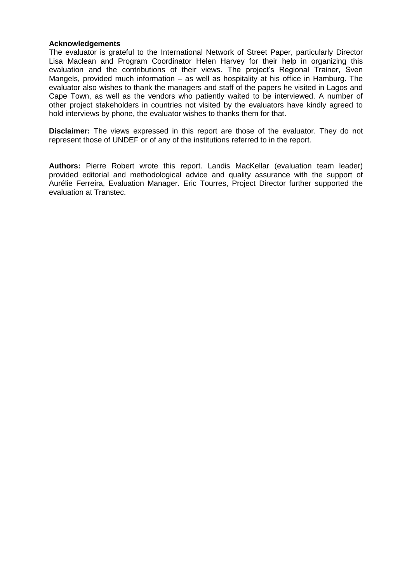#### **Acknowledgements**

The evaluator is grateful to the International Network of Street Paper, particularly Director Lisa Maclean and Program Coordinator Helen Harvey for their help in organizing this evaluation and the contributions of their views. The project's Regional Trainer, Sven Mangels, provided much information – as well as hospitality at his office in Hamburg. The evaluator also wishes to thank the managers and staff of the papers he visited in Lagos and Cape Town, as well as the vendors who patiently waited to be interviewed. A number of other project stakeholders in countries not visited by the evaluators have kindly agreed to hold interviews by phone, the evaluator wishes to thanks them for that.

**Disclaimer:** The views expressed in this report are those of the evaluator. They do not represent those of UNDEF or of any of the institutions referred to in the report.

**Authors:** Pierre Robert wrote this report. Landis MacKellar (evaluation team leader) provided editorial and methodological advice and quality assurance with the support of Aurélie Ferreira, Evaluation Manager. Eric Tourres, Project Director further supported the evaluation at Transtec.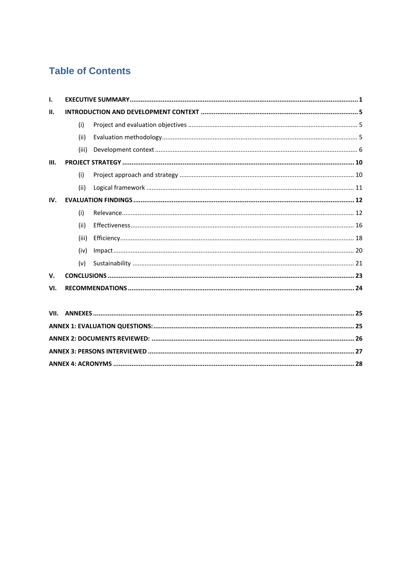# **Table of Contents**

| Τ.   |       |  |  |  |
|------|-------|--|--|--|
| Ш.   |       |  |  |  |
|      | (i)   |  |  |  |
|      | (ii)  |  |  |  |
|      | (iii) |  |  |  |
| III. |       |  |  |  |
|      | (i)   |  |  |  |
|      | (ii)  |  |  |  |
| IV.  |       |  |  |  |
|      | (i)   |  |  |  |
|      | (ii)  |  |  |  |
|      | (iii) |  |  |  |
|      | (iv)  |  |  |  |
|      | (v)   |  |  |  |
| V.   |       |  |  |  |
| VI.  |       |  |  |  |
|      |       |  |  |  |
| VII. |       |  |  |  |
|      |       |  |  |  |
|      |       |  |  |  |
|      |       |  |  |  |
|      |       |  |  |  |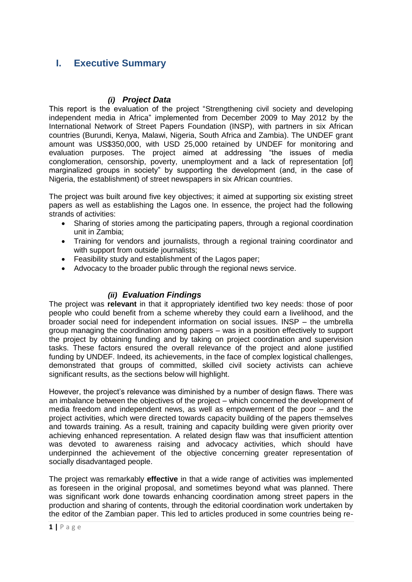## <span id="page-3-0"></span>**I. Executive Summary**

## *(i) Project Data*

This report is the evaluation of the project "Strengthening civil society and developing independent media in Africa" implemented from December 2009 to May 2012 by the International Network of Street Papers Foundation (INSP), with partners in six African countries (Burundi, Kenya, Malawi, Nigeria, South Africa and Zambia). The UNDEF grant amount was US\$350,000, with USD 25,000 retained by UNDEF for monitoring and evaluation purposes. The project aimed at addressing "the issues of media conglomeration, censorship, poverty, unemployment and a lack of representation [of] marginalized groups in society" by supporting the development (and, in the case of Nigeria, the establishment) of street newspapers in six African countries.

The project was built around five key objectives; it aimed at supporting six existing street papers as well as establishing the Lagos one. In essence, the project had the following strands of activities:

- Sharing of stories among the participating papers, through a regional coordination unit in Zambia;
- Training for vendors and journalists, through a regional training coordinator and with support from outside journalists;
- Feasibility study and establishment of the Lagos paper:
- Advocacy to the broader public through the regional news service.

## *(ii) Evaluation Findings*

The project was **relevant** in that it appropriately identified two key needs: those of poor people who could benefit from a scheme whereby they could earn a livelihood, and the broader social need for independent information on social issues. INSP – the umbrella group managing the coordination among papers – was in a position effectively to support the project by obtaining funding and by taking on project coordination and supervision tasks. These factors ensured the overall relevance of the project and alone justified funding by UNDEF. Indeed, its achievements, in the face of complex logistical challenges, demonstrated that groups of committed, skilled civil society activists can achieve significant results, as the sections below will highlight.

However, the project's relevance was diminished by a number of design flaws. There was an imbalance between the objectives of the project – which concerned the development of media freedom and independent news, as well as empowerment of the poor – and the project activities, which were directed towards capacity building of the papers themselves and towards training. As a result, training and capacity building were given priority over achieving enhanced representation. A related design flaw was that insufficient attention was devoted to awareness raising and advocacy activities, which should have underpinned the achievement of the objective concerning greater representation of socially disadvantaged people.

The project was remarkably **effective** in that a wide range of activities was implemented as foreseen in the original proposal, and sometimes beyond what was planned. There was significant work done towards enhancing coordination among street papers in the production and sharing of contents, through the editorial coordination work undertaken by the editor of the Zambian paper. This led to articles produced in some countries being re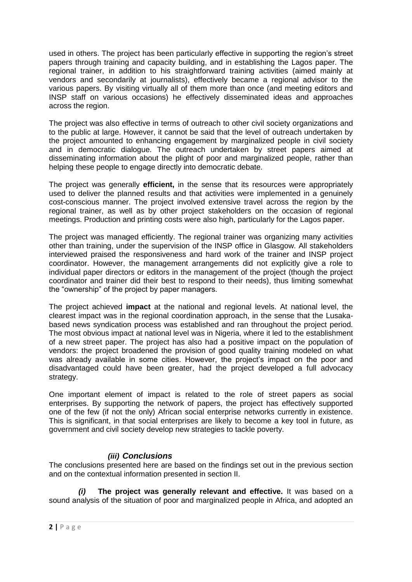used in others. The project has been particularly effective in supporting the region's street papers through training and capacity building, and in establishing the Lagos paper. The regional trainer, in addition to his straightforward training activities (aimed mainly at vendors and secondarily at journalists), effectively became a regional advisor to the various papers. By visiting virtually all of them more than once (and meeting editors and INSP staff on various occasions) he effectively disseminated ideas and approaches across the region.

The project was also effective in terms of outreach to other civil society organizations and to the public at large. However, it cannot be said that the level of outreach undertaken by the project amounted to enhancing engagement by marginalized people in civil society and in democratic dialogue. The outreach undertaken by street papers aimed at disseminating information about the plight of poor and marginalized people, rather than helping these people to engage directly into democratic debate.

The project was generally **efficient,** in the sense that its resources were appropriately used to deliver the planned results and that activities were implemented in a genuinely cost-conscious manner. The project involved extensive travel across the region by the regional trainer, as well as by other project stakeholders on the occasion of regional meetings. Production and printing costs were also high, particularly for the Lagos paper.

The project was managed efficiently. The regional trainer was organizing many activities other than training, under the supervision of the INSP office in Glasgow. All stakeholders interviewed praised the responsiveness and hard work of the trainer and INSP project coordinator. However, the management arrangements did not explicitly give a role to individual paper directors or editors in the management of the project (though the project coordinator and trainer did their best to respond to their needs), thus limiting somewhat the "ownership" of the project by paper managers.

The project achieved **impact** at the national and regional levels. At national level, the clearest impact was in the regional coordination approach, in the sense that the Lusakabased news syndication process was established and ran throughout the project period. The most obvious impact at national level was in Nigeria, where it led to the establishment of a new street paper. The project has also had a positive impact on the population of vendors: the project broadened the provision of good quality training modeled on what was already available in some cities. However, the project's impact on the poor and disadvantaged could have been greater, had the project developed a full advocacy strategy.

One important element of impact is related to the role of street papers as social enterprises. By supporting the network of papers, the project has effectively supported one of the few (if not the only) African social enterprise networks currently in existence. This is significant, in that social enterprises are likely to become a key tool in future, as government and civil society develop new strategies to tackle poverty.

## *(iii) Conclusions*

The conclusions presented here are based on the findings set out in the previous section and on the contextual information presented in section II.

*(i)* **The project was generally relevant and effective.** It was based on a sound analysis of the situation of poor and marginalized people in Africa, and adopted an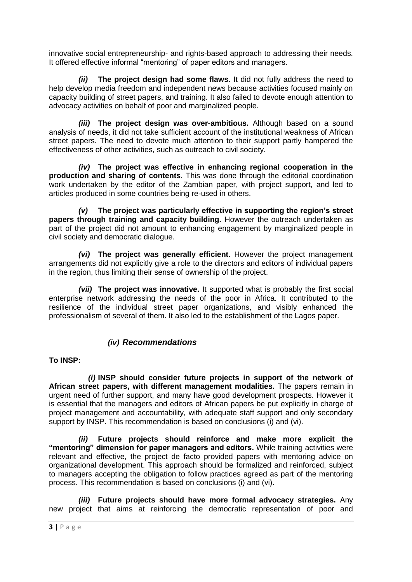innovative social entrepreneurship- and rights-based approach to addressing their needs. It offered effective informal "mentoring" of paper editors and managers.

*(ii)* **The project design had some flaws.** It did not fully address the need to help develop media freedom and independent news because activities focused mainly on capacity building of street papers, and training. It also failed to devote enough attention to advocacy activities on behalf of poor and marginalized people.

*(iii)* **The project design was over-ambitious.** Although based on a sound analysis of needs, it did not take sufficient account of the institutional weakness of African street papers. The need to devote much attention to their support partly hampered the effectiveness of other activities, such as outreach to civil society.

*(iv)* **The project was effective in enhancing regional cooperation in the production and sharing of contents**. This was done through the editorial coordination work undertaken by the editor of the Zambian paper, with project support, and led to articles produced in some countries being re-used in others.

*(v)* **The project was particularly effective in supporting the region's street papers through training and capacity building.** However the outreach undertaken as part of the project did not amount to enhancing engagement by marginalized people in civil society and democratic dialogue.

*(vi)* **The project was generally efficient.** However the project management arrangements did not explicitly give a role to the directors and editors of individual papers in the region, thus limiting their sense of ownership of the project.

*(vii)* **The project was innovative.** It supported what is probably the first social enterprise network addressing the needs of the poor in Africa. It contributed to the resilience of the individual street paper organizations, and visibly enhanced the professionalism of several of them. It also led to the establishment of the Lagos paper.

## *(iv) Recommendations*

### **To INSP:**

*(i)* **INSP should consider future projects in support of the network of African street papers, with different management modalities.** The papers remain in urgent need of further support, and many have good development prospects. However it is essential that the managers and editors of African papers be put explicitly in charge of project management and accountability, with adequate staff support and only secondary support by INSP. This recommendation is based on conclusions (i) and (vi).

*(ii)* **Future projects should reinforce and make more explicit the "mentoring" dimension for paper managers and editors.** While training activities were relevant and effective, the project de facto provided papers with mentoring advice on organizational development. This approach should be formalized and reinforced, subject to managers accepting the obligation to follow practices agreed as part of the mentoring process. This recommendation is based on conclusions (i) and (vi).

*(iii)* **Future projects should have more formal advocacy strategies.** Any new project that aims at reinforcing the democratic representation of poor and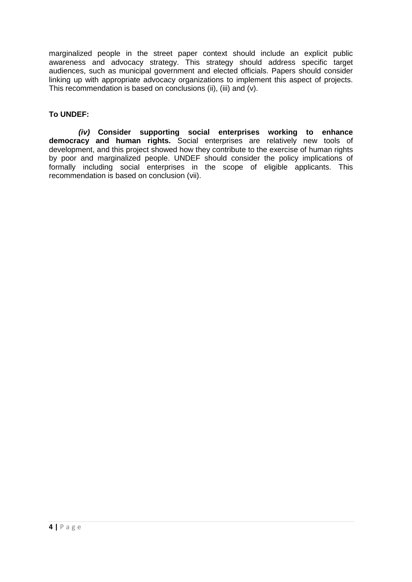marginalized people in the street paper context should include an explicit public awareness and advocacy strategy. This strategy should address specific target audiences, such as municipal government and elected officials. Papers should consider linking up with appropriate advocacy organizations to implement this aspect of projects. This recommendation is based on conclusions (ii), (iii) and (v).

## **To UNDEF:**

*(iv)* **Consider supporting social enterprises working to enhance democracy and human rights.** Social enterprises are relatively new tools of development, and this project showed how they contribute to the exercise of human rights by poor and marginalized people. UNDEF should consider the policy implications of formally including social enterprises in the scope of eligible applicants. This recommendation is based on conclusion (vii).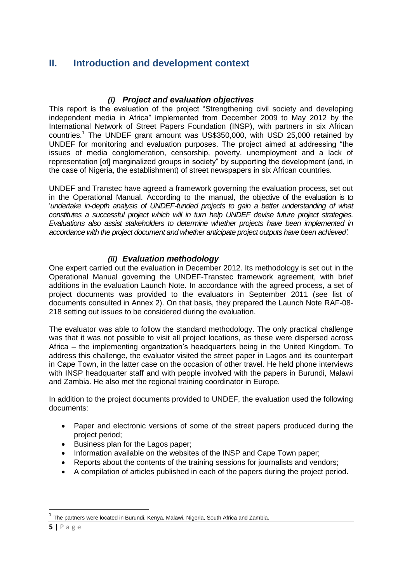## <span id="page-7-0"></span>**II. Introduction and development context**

### *(i) Project and evaluation objectives*

<span id="page-7-1"></span>This report is the evaluation of the project "Strengthening civil society and developing independent media in Africa" implemented from December 2009 to May 2012 by the International Network of Street Papers Foundation (INSP), with partners in six African countries.<sup>1</sup> The UNDEF grant amount was US\$350,000, with USD 25,000 retained by UNDEF for monitoring and evaluation purposes. The project aimed at addressing "the issues of media conglomeration, censorship, poverty, unemployment and a lack of representation [of] marginalized groups in society" by supporting the development (and, in the case of Nigeria, the establishment) of street newspapers in six African countries.

UNDEF and Transtec have agreed a framework governing the evaluation process, set out in the Operational Manual. According to the manual, the objective of the evaluation is to '*undertake in-depth analysis of UNDEF-funded projects to gain a better understanding of what constitutes a successful project which will in turn help UNDEF devise future project strategies. Evaluations also assist stakeholders to determine whether projects have been implemented in accordance with the project document and whether anticipate project outputs have been achieved'*.

## *(ii) Evaluation methodology*

<span id="page-7-2"></span>One expert carried out the evaluation in December 2012. Its methodology is set out in the Operational Manual governing the UNDEF-Transtec framework agreement, with brief additions in the evaluation Launch Note. In accordance with the agreed process, a set of project documents was provided to the evaluators in September 2011 (see list of documents consulted in Annex 2). On that basis, they prepared the Launch Note RAF-08- 218 setting out issues to be considered during the evaluation.

The evaluator was able to follow the standard methodology. The only practical challenge was that it was not possible to visit all project locations, as these were dispersed across Africa – the implementing organization's headquarters being in the United Kingdom. To address this challenge, the evaluator visited the street paper in Lagos and its counterpart in Cape Town, in the latter case on the occasion of other travel. He held phone interviews with INSP headquarter staff and with people involved with the papers in Burundi, Malawi and Zambia. He also met the regional training coordinator in Europe.

In addition to the project documents provided to UNDEF, the evaluation used the following documents:

- Paper and electronic versions of some of the street papers produced during the project period;
- Business plan for the Lagos paper;
- Information available on the websites of the INSP and Cape Town paper;
- Reports about the contents of the training sessions for journalists and vendors;
- A compilation of articles published in each of the papers during the project period.

 $\overline{\phantom{a}}$ 

<sup>&</sup>lt;sup>1</sup> The partners were located in Burundi, Kenya, Malawi, Nigeria, South Africa and Zambia.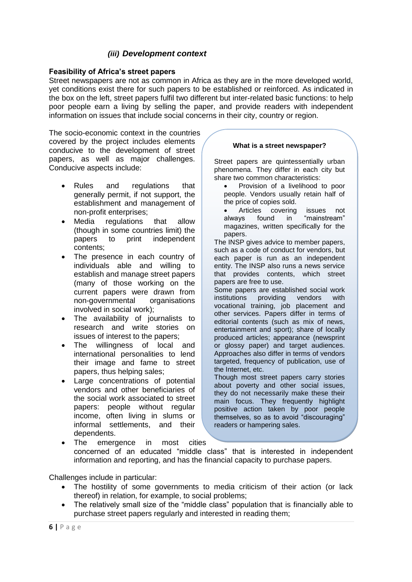## *(iii) Development context*

#### <span id="page-8-0"></span>**Feasibility of Africa's street papers**

Street newspapers are not as common in Africa as they are in the more developed world, yet conditions exist there for such papers to be established or reinforced. As indicated in the box on the left, street papers fulfil two different but inter-related basic functions: to help poor people earn a living by selling the paper, and provide readers with independent information on issues that include social concerns in their city, country or region.

The socio-economic context in the countries covered by the project includes elements conducive to the development of street papers, as well as major challenges. Conducive aspects include:

- Rules and regulations that generally permit, if not support, the establishment and management of non-profit enterprises;
- Media regulations that allow (though in some countries limit) the papers to print independent contents;
- The presence in each country of individuals able and willing to establish and manage street papers (many of those working on the current papers were drawn from non-governmental organisations involved in social work);
- The availability of journalists to research and write stories on issues of interest to the papers;
- The willingness of local and international personalities to lend their image and fame to street papers, thus helping sales;
- Large concentrations of potential vendors and other beneficiaries of the social work associated to street papers: people without regular income, often living in slums or informal settlements, and their dependents.

#### **What is a street newspaper?**

Street papers are quintessentially urban phenomena. They differ in each city but share two common characteristics:

- Provision of a livelihood to poor people. Vendors usually retain half of the price of copies sold.
- Articles covering issues not always found in "mainstream" magazines, written specifically for the papers.

The INSP gives advice to member papers, such as a code of conduct for vendors, but each paper is run as an independent entity. The INSP also runs a news service that provides contents, which street papers are free to use.

Some papers are established social work institutions providing vendors with vocational training, job placement and other services. Papers differ in terms of editorial contents (such as mix of news, entertainment and sport); share of locally produced articles; appearance (newsprint or glossy paper) and target audiences. Approaches also differ in terms of vendors targeted, frequency of publication, use of the Internet, etc.

Though most street papers carry stories about poverty and other social issues, they do not necessarily make these their main focus. They frequently highlight positive action taken by poor people themselves, so as to avoid "discouraging" readers or hampering sales.

 The emergence in most cities concerned of an educated "middle class" that is interested in independent information and reporting, and has the financial capacity to purchase papers.

Challenges include in particular:

- The hostility of some governments to media criticism of their action (or lack thereof) in relation, for example, to social problems;
- The relatively small size of the "middle class" population that is financially able to purchase street papers regularly and interested in reading them;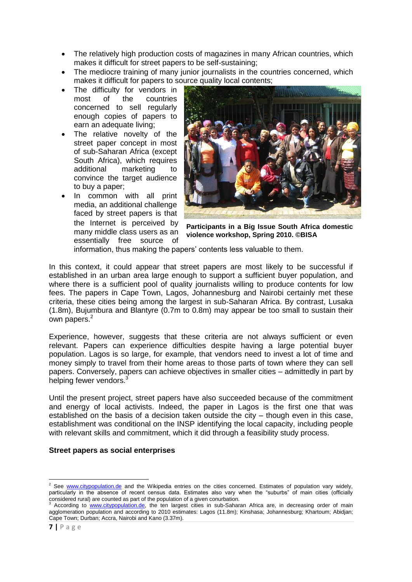- The relatively high production costs of magazines in many African countries, which makes it difficult for street papers to be self-sustaining;
- The mediocre training of many junior journalists in the countries concerned, which makes it difficult for papers to source quality local contents;
- The difficulty for vendors in most of the countries concerned to sell regularly enough copies of papers to earn an adequate living;
- The relative novelty of the street paper concept in most of sub-Saharan Africa (except South Africa), which requires additional marketing to convince the target audience to buy a paper;
- In common with all print media, an additional challenge faced by street papers is that the Internet is perceived by many middle class users as an essentially free source of



**Participants in a Big Issue South Africa domestic violence workshop, Spring 2010. ©BISA**

information, thus making the papers' contents less valuable to them.

In this context, it could appear that street papers are most likely to be successful if established in an urban area large enough to support a sufficient buyer population, and where there is a sufficient pool of quality journalists willing to produce contents for low fees. The papers in Cape Town, Lagos, Johannesburg and Nairobi certainly met these criteria, these cities being among the largest in sub-Saharan Africa. By contrast, Lusaka (1.8m), Bujumbura and Blantyre (0.7m to 0.8m) may appear be too small to sustain their own papers.<sup>2</sup>

Experience, however, suggests that these criteria are not always sufficient or even relevant. Papers can experience difficulties despite having a large potential buyer population. Lagos is so large, for example, that vendors need to invest a lot of time and money simply to travel from their home areas to those parts of town where they can sell papers. Conversely, papers can achieve objectives in smaller cities – admittedly in part by helping fewer vendors.<sup>3</sup>

Until the present project, street papers have also succeeded because of the commitment and energy of local activists. Indeed, the paper in Lagos is the first one that was established on the basis of a decision taken outside the city – though even in this case, establishment was conditional on the INSP identifying the local capacity, including people with relevant skills and commitment, which it did through a feasibility study process.

### **Street papers as social enterprises**

**.** 

<sup>&</sup>lt;sup>2</sup> See [www.citypopulation.de](http://www.citypopulation.de/) and the Wikipedia entries on the cities concerned. Estimates of population vary widely, particularly in the absence of recent census data. Estimates also vary when the "suburbs" of main cities (officially considered rural) are counted as part of the population of a given conurbation.

According to [www.citypopulation.de,](http://www.citypopulation.de/) the ten largest cities in sub-Saharan Africa are, in decreasing order of main agglomeration population and according to 2010 estimates: Lagos (11.8m); Kinshasa; Johannesburg; Khartoum; Abidjan; Cape Town; Durban; Accra, Nairobi and Kano (3.37m).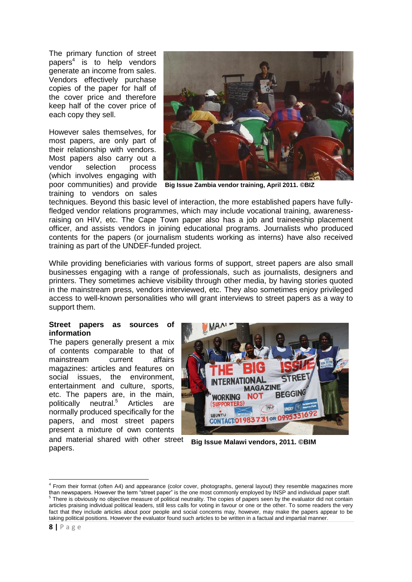The primary function of street papers<sup>4</sup> is to help vendors generate an income from sales. Vendors effectively purchase copies of the paper for half of the cover price and therefore keep half of the cover price of each copy they sell.

However sales themselves, for most papers, are only part of their relationship with vendors. Most papers also carry out a vendor selection process (which involves engaging with training to vendors on sales



poor communities) and provide **Big Issue Zambia vendor training, April 2011. ©BIZ** 

techniques. Beyond this basic level of interaction, the more established papers have fullyfledged vendor relations programmes, which may include vocational training, awarenessraising on HIV, etc. The Cape Town paper also has a job and traineeship placement officer, and assists vendors in joining educational programs. Journalists who produced contents for the papers (or journalism students working as interns) have also received training as part of the UNDEF-funded project.

While providing beneficiaries with various forms of support, street papers are also small businesses engaging with a range of professionals, such as journalists, designers and printers. They sometimes achieve visibility through other media, by having stories quoted in the mainstream press, vendors interviewed, etc. They also sometimes enjoy privileged access to well-known personalities who will grant interviews to street papers as a way to support them.

#### **Street papers as sources of information**

The papers generally present a mix of contents comparable to that of mainstream current affairs magazines: articles and features on social issues, the environment, entertainment and culture, sports, etc. The papers are, in the main, politically neutral. <sup>5</sup> Articles are normally produced specifically for the papers, and most street papers present a mixture of own contents and material shared with other street papers.



**Big Issue Malawi vendors, 2011. ©BIM**

**.** 

<sup>4</sup> From their format (often A4) and appearance (color cover, photographs, general layout) they resemble magazines more than newspapers. However the term "street paper" is the one most commonly employed by INSP and individual paper staff.  $5$  There is obviously no objective measure of political neutrality. The copies of papers seen by the evaluator did not contain articles praising individual political leaders, still less calls for voting in favour or one or the other. To some readers the very fact that they include articles about poor people and social concerns may, however, may make the papers appear to be taking political positions. However the evaluator found such articles to be written in a factual and impartial manner.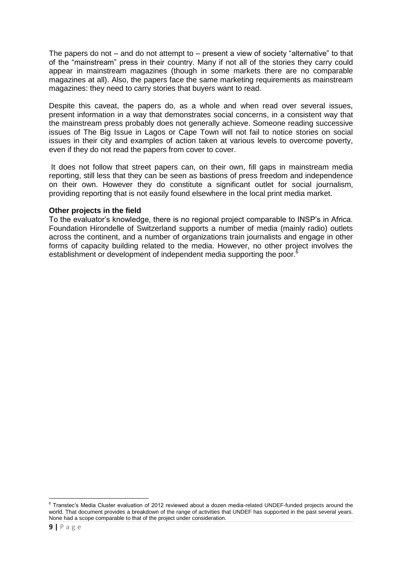The papers do not – and do not attempt to – present a view of society "alternative" to that of the "mainstream" press in their country. Many if not all of the stories they carry could appear in mainstream magazines (though in some markets there are no comparable magazines at all). Also, the papers face the same marketing requirements as mainstream magazines: they need to carry stories that buyers want to read.

Despite this caveat, the papers do, as a whole and when read over several issues, present information in a way that demonstrates social concerns, in a consistent way that the mainstream press probably does not generally achieve. Someone reading successive issues of The Big Issue in Lagos or Cape Town will not fail to notice stories on social issues in their city and examples of action taken at various levels to overcome poverty, even if they do not read the papers from cover to cover.

It does not follow that street papers can, on their own, fill gaps in mainstream media reporting, still less that they can be seen as bastions of press freedom and independence on their own. However they do constitute a significant outlet for social journalism, providing reporting that is not easily found elsewhere in the local print media market.

### **Other projects in the field**

To the evaluator's knowledge, there is no regional project comparable to INSP's in Africa. Foundation Hirondelle of Switzerland supports a number of media (mainly radio) outlets across the continent, and a number of organizations train journalists and engage in other forms of capacity building related to the media. However, no other project involves the establishment or development of independent media supporting the poor.<sup>6</sup>

 6 Transtec's Media Cluster evaluation of 2012 reviewed about a dozen media-related UNDEF-funded projects around the world. That document provides a breakdown of the range of activities that UNDEF has supported in the past several years. None had a scope comparable to that of the project under consideration.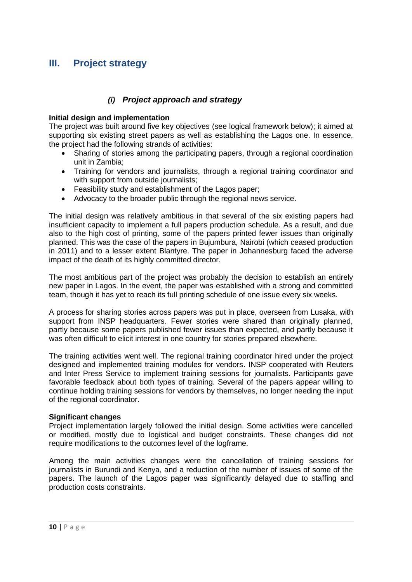## <span id="page-12-0"></span>**III. Project strategy**

## *(i) Project approach and strategy*

### <span id="page-12-1"></span>**Initial design and implementation**

The project was built around five key objectives (see logical framework below); it aimed at supporting six existing street papers as well as establishing the Lagos one. In essence, the project had the following strands of activities:

- Sharing of stories among the participating papers, through a regional coordination unit in Zambia;
- Training for vendors and journalists, through a regional training coordinator and with support from outside journalists:
- Feasibility study and establishment of the Lagos paper;
- Advocacy to the broader public through the regional news service.

The initial design was relatively ambitious in that several of the six existing papers had insufficient capacity to implement a full papers production schedule. As a result, and due also to the high cost of printing, some of the papers printed fewer issues than originally planned. This was the case of the papers in Bujumbura, Nairobi (which ceased production in 2011) and to a lesser extent Blantyre. The paper in Johannesburg faced the adverse impact of the death of its highly committed director.

The most ambitious part of the project was probably the decision to establish an entirely new paper in Lagos. In the event, the paper was established with a strong and committed team, though it has yet to reach its full printing schedule of one issue every six weeks.

A process for sharing stories across papers was put in place, overseen from Lusaka, with support from INSP headquarters. Fewer stories were shared than originally planned, partly because some papers published fewer issues than expected, and partly because it was often difficult to elicit interest in one country for stories prepared elsewhere.

The training activities went well. The regional training coordinator hired under the project designed and implemented training modules for vendors. INSP cooperated with Reuters and Inter Press Service to implement training sessions for journalists. Participants gave favorable feedback about both types of training. Several of the papers appear willing to continue holding training sessions for vendors by themselves, no longer needing the input of the regional coordinator.

#### **Significant changes**

Project implementation largely followed the initial design. Some activities were cancelled or modified, mostly due to logistical and budget constraints. These changes did not require modifications to the outcomes level of the logframe.

Among the main activities changes were the cancellation of training sessions for journalists in Burundi and Kenya, and a reduction of the number of issues of some of the papers. The launch of the Lagos paper was significantly delayed due to staffing and production costs constraints.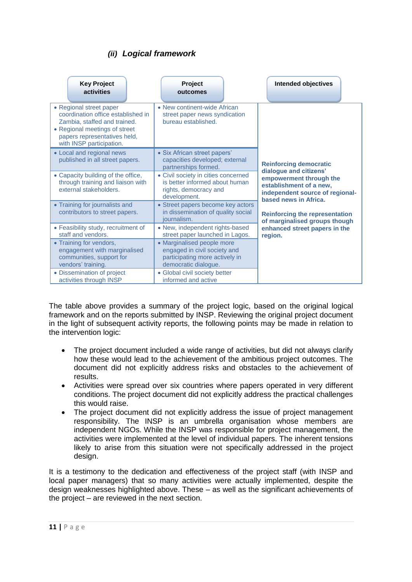## *(ii) Logical framework*

<span id="page-13-0"></span>

| <b>Key Project</b><br>activities                                                                                                                                                           | Project<br>outcomes                                                                                                  | Intended objectives                                                                                                                      |
|--------------------------------------------------------------------------------------------------------------------------------------------------------------------------------------------|----------------------------------------------------------------------------------------------------------------------|------------------------------------------------------------------------------------------------------------------------------------------|
| • Regional street paper<br>coordination office established in<br>Zambia, staffed and trained.<br>• Regional meetings of street<br>papers representatives held,<br>with INSP participation. | • New continent-wide African<br>street paper news syndication<br>bureau established.                                 |                                                                                                                                          |
| • Local and regional news<br>published in all street papers.                                                                                                                               | • Six African street papers'<br>capacities developed; external<br>partnerships formed.                               | <b>Reinforcing democratic</b>                                                                                                            |
| • Capacity building of the office,<br>through training and liaison with<br>external stakeholders.                                                                                          | • Civil society in cities concerned<br>is better informed about human<br>rights, democracy and<br>development.       | dialogue and citizens'<br>empowerment through the<br>establishment of a new,<br>independent source of regional-<br>based news in Africa. |
| • Training for journalists and<br>contributors to street papers.                                                                                                                           | • Street papers become key actors<br>in dissemination of quality social<br>journalism.                               | <b>Reinforcing the representation</b><br>of marginalised groups though                                                                   |
| • Feasibility study, recruitment of<br>staff and vendors.                                                                                                                                  | • New, independent rights-based<br>street paper launched in Lagos.                                                   | enhanced street papers in the<br>region.                                                                                                 |
| • Training for vendors,<br>engagement with marginalised<br>communities, support for<br>vendors' training.                                                                                  | • Marginalised people more<br>engaged in civil society and<br>participating more actively in<br>democratic dialogue. |                                                                                                                                          |
| • Dissemination of project<br>activities through INSP                                                                                                                                      | • Global civil society better<br>informed and active                                                                 |                                                                                                                                          |

The table above provides a summary of the project logic, based on the original logical framework and on the reports submitted by INSP. Reviewing the original project document in the light of subsequent activity reports, the following points may be made in relation to the intervention logic:

- The project document included a wide range of activities, but did not always clarify how these would lead to the achievement of the ambitious project outcomes. The document did not explicitly address risks and obstacles to the achievement of results.
- Activities were spread over six countries where papers operated in very different conditions. The project document did not explicitly address the practical challenges this would raise.
- The project document did not explicitly address the issue of project management responsibility. The INSP is an umbrella organisation whose members are independent NGOs. While the INSP was responsible for project management, the activities were implemented at the level of individual papers. The inherent tensions likely to arise from this situation were not specifically addressed in the project design.

It is a testimony to the dedication and effectiveness of the project staff (with INSP and local paper managers) that so many activities were actually implemented, despite the design weaknesses highlighted above. These – as well as the significant achievements of the project – are reviewed in the next section.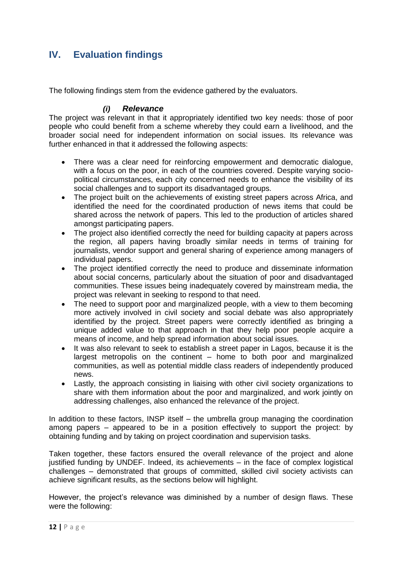## <span id="page-14-0"></span>**IV. Evaluation findings**

The following findings stem from the evidence gathered by the evaluators.

### *(i) Relevance*

<span id="page-14-1"></span>The project was relevant in that it appropriately identified two key needs: those of poor people who could benefit from a scheme whereby they could earn a livelihood, and the broader social need for independent information on social issues. Its relevance was further enhanced in that it addressed the following aspects:

- There was a clear need for reinforcing empowerment and democratic dialogue, with a focus on the poor, in each of the countries covered. Despite varying sociopolitical circumstances, each city concerned needs to enhance the visibility of its social challenges and to support its disadvantaged groups.
- The project built on the achievements of existing street papers across Africa, and identified the need for the coordinated production of news items that could be shared across the network of papers. This led to the production of articles shared amongst participating papers.
- The project also identified correctly the need for building capacity at papers across the region, all papers having broadly similar needs in terms of training for journalists, vendor support and general sharing of experience among managers of individual papers.
- The project identified correctly the need to produce and disseminate information about social concerns, particularly about the situation of poor and disadvantaged communities. These issues being inadequately covered by mainstream media, the project was relevant in seeking to respond to that need.
- The need to support poor and marginalized people, with a view to them becoming more actively involved in civil society and social debate was also appropriately identified by the project. Street papers were correctly identified as bringing a unique added value to that approach in that they help poor people acquire a means of income, and help spread information about social issues.
- It was also relevant to seek to establish a street paper in Lagos, because it is the largest metropolis on the continent – home to both poor and marginalized communities, as well as potential middle class readers of independently produced news.
- Lastly, the approach consisting in liaising with other civil society organizations to share with them information about the poor and marginalized, and work jointly on addressing challenges, also enhanced the relevance of the project.

In addition to these factors, INSP itself – the umbrella group managing the coordination among papers – appeared to be in a position effectively to support the project: by obtaining funding and by taking on project coordination and supervision tasks.

Taken together, these factors ensured the overall relevance of the project and alone justified funding by UNDEF. Indeed, its achievements – in the face of complex logistical challenges – demonstrated that groups of committed, skilled civil society activists can achieve significant results, as the sections below will highlight.

However, the project's relevance was diminished by a number of design flaws. These were the following: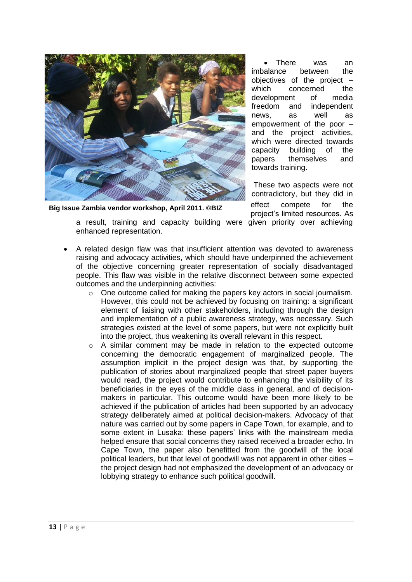

**Big Issue Zambia vendor workshop, April 2011. ©BIZ**

enhanced representation.

 There was an imbalance between the objectives of the project – which concerned the development of media freedom and independent news, as well as empowerment of the poor – and the project activities, which were directed towards capacity building of the papers themselves and towards training.

These two aspects were not contradictory, but they did in effect compete for the project's limited resources. As a result, training and capacity building were given priority over achieving

- A related design flaw was that insufficient attention was devoted to awareness raising and advocacy activities, which should have underpinned the achievement of the objective concerning greater representation of socially disadvantaged people. This flaw was visible in the relative disconnect between some expected outcomes and the underpinning activities:
	- $\circ$  One outcome called for making the papers key actors in social journalism. However, this could not be achieved by focusing on training: a significant element of liaising with other stakeholders, including through the design and implementation of a public awareness strategy, was necessary. Such strategies existed at the level of some papers, but were not explicitly built into the project, thus weakening its overall relevant in this respect.
	- o A similar comment may be made in relation to the expected outcome concerning the democratic engagement of marginalized people. The assumption implicit in the project design was that, by supporting the publication of stories about marginalized people that street paper buyers would read, the project would contribute to enhancing the visibility of its beneficiaries in the eyes of the middle class in general, and of decisionmakers in particular. This outcome would have been more likely to be achieved if the publication of articles had been supported by an advocacy strategy deliberately aimed at political decision-makers. Advocacy of that nature was carried out by some papers in Cape Town, for example, and to some extent in Lusaka: these papers' links with the mainstream media helped ensure that social concerns they raised received a broader echo. In Cape Town, the paper also benefitted from the goodwill of the local political leaders, but that level of goodwill was not apparent in other cities – the project design had not emphasized the development of an advocacy or lobbying strategy to enhance such political goodwill.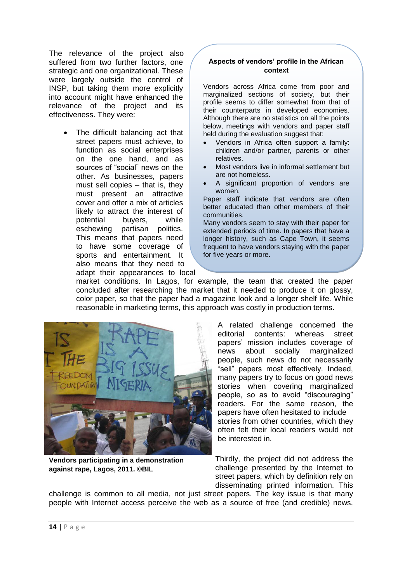The relevance of the project also suffered from two further factors, one strategic and one organizational. These were largely outside the control of INSP, but taking them more explicitly into account might have enhanced the relevance of the project and its effectiveness. They were:

> The difficult balancing act that street papers must achieve, to function as social enterprises on the one hand, and as sources of "social" news on the other. As businesses, papers must sell copies – that is, they must present an attractive cover and offer a mix of articles likely to attract the interest of potential buyers, while eschewing partisan politics. This means that papers need to have some coverage of sports and entertainment. It also means that they need to adapt their appearances to local

### **Aspects of vendors' profile in the African context**

Vendors across Africa come from poor and marginalized sections of society, but their profile seems to differ somewhat from that of their counterparts in developed economies. Although there are no statistics on all the points below, meetings with vendors and paper staff held during the evaluation suggest that:

- Vendors in Africa often support a family: children and/or partner, parents or other relatives.
- Most vendors live in informal settlement but are not homeless.
- A significant proportion of vendors are women.

Paper staff indicate that vendors are often better educated than other members of their communities.

Many vendors seem to stay with their paper for extended periods of time. In papers that have a longer history, such as Cape Town, it seems frequent to have vendors staying with the paper for five years or more.

market conditions. In Lagos, for example, the team that created the paper concluded after researching the market that it needed to produce it on glossy, color paper, so that the paper had a magazine look and a longer shelf life. While reasonable in marketing terms, this approach was costly in production terms.



**Vendors participating in a demonstration against rape, Lagos, 2011. ©BIL**

A related challenge concerned the editorial contents: whereas street papers' mission includes coverage of news about socially marginalized people, such news do not necessarily "sell" papers most effectively. Indeed, many papers try to focus on good news stories when covering marginalized people, so as to avoid "discouraging" readers. For the same reason, the papers have often hesitated to include stories from other countries, which they often felt their local readers would not be interested in.

Thirdly, the project did not address the challenge presented by the Internet to street papers, which by definition rely on disseminating printed information. This

challenge is common to all media, not just street papers. The key issue is that many people with Internet access perceive the web as a source of free (and credible) news,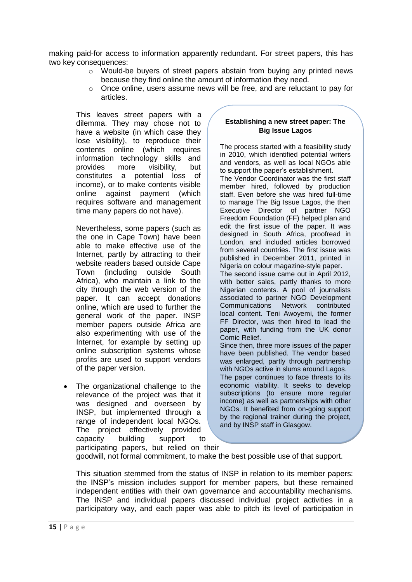making paid-for access to information apparently redundant. For street papers, this has two key consequences:

- o Would-be buyers of street papers abstain from buying any printed news because they find online the amount of information they need.
- $\circ$  Once online, users assume news will be free, and are reluctant to pay for articles.

This leaves street papers with a dilemma. They may chose not to have a website (in which case they lose visibility), to reproduce their contents online (which requires information technology skills and provides more visibility, but constitutes a potential loss of income), or to make contents visible online against payment (which requires software and management time many papers do not have).

Nevertheless, some papers (such as the one in Cape Town) have been able to make effective use of the Internet, partly by attracting to their website readers based outside Cape Town (including outside South Africa), who maintain a link to the city through the web version of the paper. It can accept donations online, which are used to further the general work of the paper. INSP member papers outside Africa are also experimenting with use of the Internet, for example by setting up online subscription systems whose profits are used to support vendors of the paper version.

 The organizational challenge to the relevance of the project was that it was designed and overseen by INSP, but implemented through a range of independent local NGOs. The project effectively provided capacity building support to participating papers, but relied on their

### **Establishing a new street paper: The Big Issue Lagos**

The process started with a feasibility study in 2010, which identified potential writers and vendors, as well as local NGOs able to support the paper's establishment. The Vendor Coordinator was the first staff member hired, followed by production staff. Even before she was hired full-time to manage The Big Issue Lagos, the then Executive Director of partner NGO Freedom Foundation (FF) helped plan and edit the first issue of the paper. It was designed in South Africa, proofread in London, and included articles borrowed from several countries. The first issue was published in December 2011, printed in Nigeria on colour magazine-style paper. The second issue came out in April 2012, with better sales, partly thanks to more Nigerian contents. A pool of journalists associated to partner NGO Development Communications Network contributed local content. Teni Awoyemi, the former FF Director, was then hired to lead the paper, with funding from the UK donor Comic Relief. Since then, three more issues of the paper have been published. The vendor based was enlarged, partly through partnership with NGOs active in slums around Lagos. The paper continues to face threats to its economic viability. It seeks to develop subscriptions (to ensure more regular income) as well as partnerships with other NGOs. It benefited from on-going support by the regional trainer during the project,

and by INSP staff in Glasgow.

goodwill, not formal commitment, to make the best possible use of that support.

This situation stemmed from the status of INSP in relation to its member papers: the INSP's mission includes support for member papers, but these remained independent entities with their own governance and accountability mechanisms. The INSP and individual papers discussed individual project activities in a participatory way, and each paper was able to pitch its level of participation in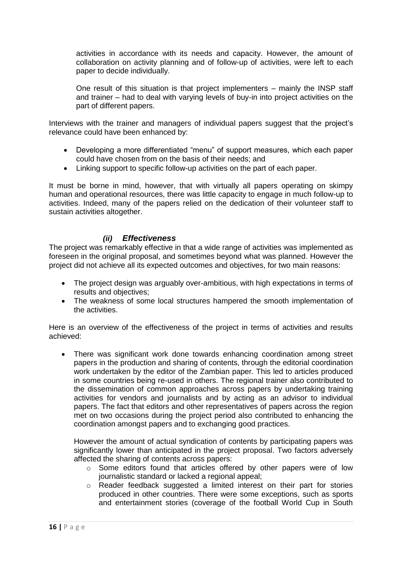activities in accordance with its needs and capacity. However, the amount of collaboration on activity planning and of follow-up of activities, were left to each paper to decide individually.

One result of this situation is that project implementers – mainly the INSP staff and trainer – had to deal with varying levels of buy-in into project activities on the part of different papers.

Interviews with the trainer and managers of individual papers suggest that the project's relevance could have been enhanced by:

- Developing a more differentiated "menu" of support measures, which each paper could have chosen from on the basis of their needs; and
- Linking support to specific follow-up activities on the part of each paper.

It must be borne in mind, however, that with virtually all papers operating on skimpy human and operational resources, there was little capacity to engage in much follow-up to activities. Indeed, many of the papers relied on the dedication of their volunteer staff to sustain activities altogether.

## *(ii) Effectiveness*

<span id="page-18-0"></span>The project was remarkably effective in that a wide range of activities was implemented as foreseen in the original proposal, and sometimes beyond what was planned. However the project did not achieve all its expected outcomes and objectives, for two main reasons:

- The project design was arguably over-ambitious, with high expectations in terms of results and objectives;
- The weakness of some local structures hampered the smooth implementation of the activities.

Here is an overview of the effectiveness of the project in terms of activities and results achieved:

 There was significant work done towards enhancing coordination among street papers in the production and sharing of contents, through the editorial coordination work undertaken by the editor of the Zambian paper. This led to articles produced in some countries being re-used in others. The regional trainer also contributed to the dissemination of common approaches across papers by undertaking training activities for vendors and journalists and by acting as an advisor to individual papers. The fact that editors and other representatives of papers across the region met on two occasions during the project period also contributed to enhancing the coordination amongst papers and to exchanging good practices.

However the amount of actual syndication of contents by participating papers was significantly lower than anticipated in the project proposal. Two factors adversely affected the sharing of contents across papers:

- o Some editors found that articles offered by other papers were of low journalistic standard or lacked a regional appeal;
- o Reader feedback suggested a limited interest on their part for stories produced in other countries. There were some exceptions, such as sports and entertainment stories (coverage of the football World Cup in South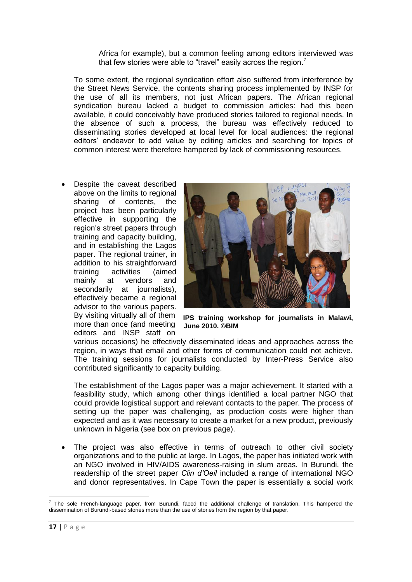Africa for example), but a common feeling among editors interviewed was that few stories were able to "travel" easily across the region.<sup>7</sup>

To some extent, the regional syndication effort also suffered from interference by the Street News Service, the contents sharing process implemented by INSP for the use of all its members, not just African papers. The African regional syndication bureau lacked a budget to commission articles: had this been available, it could conceivably have produced stories tailored to regional needs. In the absence of such a process, the bureau was effectively reduced to disseminating stories developed at local level for local audiences: the regional editors' endeavor to add value by editing articles and searching for topics of common interest were therefore hampered by lack of commissioning resources.

 Despite the caveat described above on the limits to regional sharing of contents, the project has been particularly effective in supporting the region's street papers through training and capacity building, and in establishing the Lagos paper. The regional trainer, in addition to his straightforward training activities (aimed mainly at vendors and secondarily at journalists), effectively became a regional advisor to the various papers. more than once (and meeting editors and INSP staff on



By visiting virtually all of them **IPS training workshop for journalists in Malawi, June 2010. ©BIM**

various occasions) he effectively disseminated ideas and approaches across the region, in ways that email and other forms of communication could not achieve. The training sessions for journalists conducted by Inter-Press Service also contributed significantly to capacity building.

The establishment of the Lagos paper was a major achievement. It started with a feasibility study, which among other things identified a local partner NGO that could provide logistical support and relevant contacts to the paper. The process of setting up the paper was challenging, as production costs were higher than expected and as it was necessary to create a market for a new product, previously unknown in Nigeria (see box on previous page).

 The project was also effective in terms of outreach to other civil society organizations and to the public at large. In Lagos, the paper has initiated work with an NGO involved in HIV/AIDS awareness-raising in slum areas. In Burundi, the readership of the street paper *Clin d'Oeil* included a range of international NGO and donor representatives. In Cape Town the paper is essentially a social work

 7 The sole French-language paper, from Burundi, faced the additional challenge of translation. This hampered the dissemination of Burundi-based stories more than the use of stories from the region by that paper.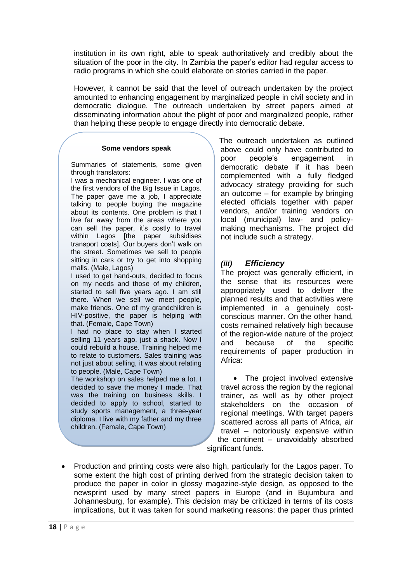institution in its own right, able to speak authoritatively and credibly about the situation of the poor in the city. In Zambia the paper's editor had regular access to radio programs in which she could elaborate on stories carried in the paper.

However, it cannot be said that the level of outreach undertaken by the project amounted to enhancing engagement by marginalized people in civil society and in democratic dialogue. The outreach undertaken by street papers aimed at disseminating information about the plight of poor and marginalized people, rather than helping these people to engage directly into democratic debate.

#### **Some vendors speak**

Summaries of statements, some given through translators:

I was a mechanical engineer. I was one of the first vendors of the Big Issue in Lagos. The paper gave me a job, I appreciate talking to people buying the magazine about its contents. One problem is that I live far away from the areas where you can sell the paper, it's costly to travel within Lagos [the paper subsidises transport costs]. Our buyers don't walk on the street. Sometimes we sell to people sitting in cars or try to get into shopping malls. (Male, Lagos)

I used to get hand-outs, decided to focus on my needs and those of my children, started to sell five years ago. I am still there. When we sell we meet people, make friends. One of my grandchildren is HIV-positive, the paper is helping with that. (Female, Cape Town)

I had no place to stay when I started selling 11 years ago, just a shack. Now I could rebuild a house. Training helped me to relate to customers. Sales training was not just about selling, it was about relating to people. (Male, Cape Town)

The workshop on sales helped me a lot. I decided to save the money I made. That was the training on business skills. I decided to apply to school, started to study sports management, a three-year diploma. I live with my father and my three children. (Female, Cape Town)

The outreach undertaken as outlined above could only have contributed to poor people's engagement in democratic debate if it has been complemented with a fully fledged advocacy strategy providing for such an outcome – for example by bringing elected officials together with paper vendors, and/or training vendors on local (municipal) law- and policymaking mechanisms. The project did not include such a strategy.

## <span id="page-20-0"></span>*(iii) Efficiency*

The project was generally efficient, in the sense that its resources were appropriately used to deliver the planned results and that activities were implemented in a genuinely costconscious manner. On the other hand, costs remained relatively high because of the region-wide nature of the project and because of the specific requirements of paper production in Africa:

• The project involved extensive travel across the region by the regional trainer, as well as by other project stakeholders on the occasion of regional meetings. With target papers scattered across all parts of Africa, air travel – notoriously expensive within the continent – unavoidably absorbed significant funds.

• Production and printing costs were also high, particularly for the Lagos paper. To some extent the high cost of printing derived from the strategic decision taken to produce the paper in color in glossy magazine-style design, as opposed to the newsprint used by many street papers in Europe (and in Bujumbura and Johannesburg, for example). This decision may be criticized in terms of its costs implications, but it was taken for sound marketing reasons: the paper thus printed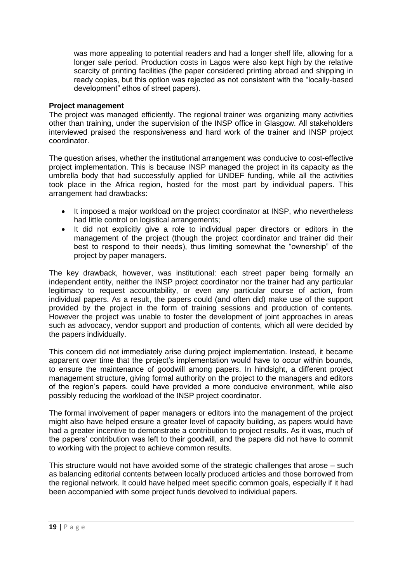was more appealing to potential readers and had a longer shelf life, allowing for a longer sale period. Production costs in Lagos were also kept high by the relative scarcity of printing facilities (the paper considered printing abroad and shipping in ready copies, but this option was rejected as not consistent with the "locally-based development" ethos of street papers).

### **Project management**

The project was managed efficiently. The regional trainer was organizing many activities other than training, under the supervision of the INSP office in Glasgow. All stakeholders interviewed praised the responsiveness and hard work of the trainer and INSP project coordinator.

The question arises, whether the institutional arrangement was conducive to cost-effective project implementation. This is because INSP managed the project in its capacity as the umbrella body that had successfully applied for UNDEF funding, while all the activities took place in the Africa region, hosted for the most part by individual papers. This arrangement had drawbacks:

- It imposed a major workload on the project coordinator at INSP, who nevertheless had little control on logistical arrangements;
- It did not explicitly give a role to individual paper directors or editors in the management of the project (though the project coordinator and trainer did their best to respond to their needs), thus limiting somewhat the "ownership" of the project by paper managers.

The key drawback, however, was institutional: each street paper being formally an independent entity, neither the INSP project coordinator nor the trainer had any particular legitimacy to request accountability, or even any particular course of action, from individual papers. As a result, the papers could (and often did) make use of the support provided by the project in the form of training sessions and production of contents. However the project was unable to foster the development of joint approaches in areas such as advocacy, vendor support and production of contents, which all were decided by the papers individually.

This concern did not immediately arise during project implementation. Instead, it became apparent over time that the project's implementation would have to occur within bounds, to ensure the maintenance of goodwill among papers. In hindsight, a different project management structure, giving formal authority on the project to the managers and editors of the region's papers. could have provided a more conducive environment, while also possibly reducing the workload of the INSP project coordinator.

The formal involvement of paper managers or editors into the management of the project might also have helped ensure a greater level of capacity building, as papers would have had a greater incentive to demonstrate a contribution to project results. As it was, much of the papers' contribution was left to their goodwill, and the papers did not have to commit to working with the project to achieve common results.

This structure would not have avoided some of the strategic challenges that arose – such as balancing editorial contents between locally produced articles and those borrowed from the regional network. It could have helped meet specific common goals, especially if it had been accompanied with some project funds devolved to individual papers.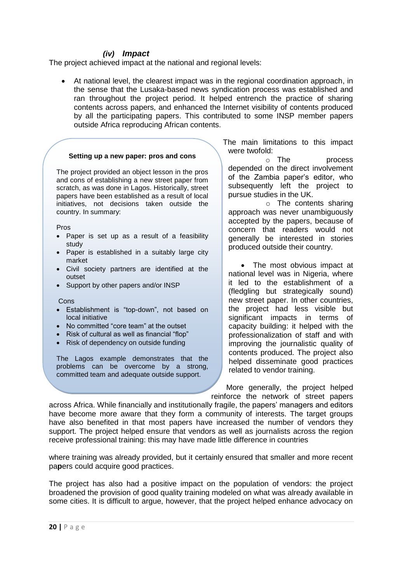### *(iv) Impact*

<span id="page-22-0"></span>The project achieved impact at the national and regional levels:

 At national level, the clearest impact was in the regional coordination approach, in the sense that the Lusaka-based news syndication process was established and ran throughout the project period. It helped entrench the practice of sharing contents across papers, and enhanced the Internet visibility of contents produced by all the participating papers. This contributed to some INSP member papers outside Africa reproducing African contents.

#### **Setting up a new paper: pros and cons**

The project provided an object lesson in the pros and cons of establishing a new street paper from scratch, as was done in Lagos. Historically, street papers have been established as a result of local initiatives, not decisions taken outside the country. In summary:

Pros

- Paper is set up as a result of a feasibility study
- Paper is established in a suitably large city market
- Civil society partners are identified at the outset
- Support by other papers and/or INSP

#### **Cons**

- Establishment is "top-down", not based on local initiative
- No committed "core team" at the outset
- Risk of cultural as well as financial "flop"
- Risk of dependency on outside funding

The Lagos example demonstrates that the problems can be overcome by a strong, committed team and adequate outside support.

The main limitations to this impact were twofold:

o The process depended on the direct involvement of the Zambia paper's editor, who subsequently left the project to pursue studies in the UK.

o The contents sharing approach was never unambiguously accepted by the papers, because of concern that readers would not generally be interested in stories produced outside their country.

• The most obvious impact at national level was in Nigeria, where it led to the establishment of a (fledgling but strategically sound) new street paper. In other countries, the project had less visible but significant impacts in terms of capacity building: it helped with the professionalization of staff and with improving the journalistic quality of contents produced. The project also helped disseminate good practices related to vendor training.

More generally, the project helped reinforce the network of street papers

across Africa. While financially and institutionally fragile, the papers' managers and editors have become more aware that they form a community of interests. The target groups have also benefited in that most papers have increased the number of vendors they support. The project helped ensure that vendors as well as journalists across the region receive professional training: this may have made little difference in countries

where training was already provided, but it certainly ensured that smaller and more recent pa**p**ers could acquire good practices.

The project has also had a positive impact on the population of vendors: the project broadened the provision of good quality training modeled on what was already available in some cities. It is difficult to argue, however, that the project helped enhance advocacy on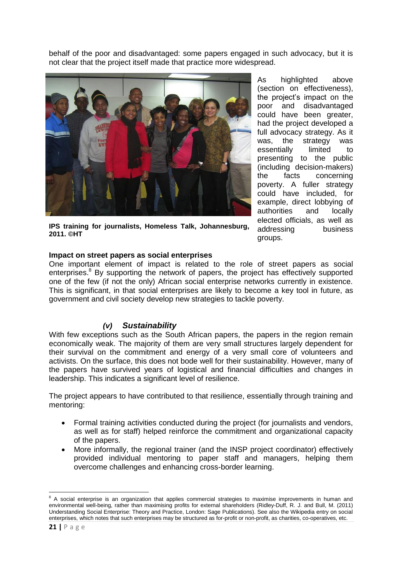behalf of the poor and disadvantaged: some papers engaged in such advocacy, but it is not clear that the project itself made that practice more widespread.



**IPS training for journalists, Homeless Talk, Johannesburg, 2011. ©HT**

As highlighted above (section on effectiveness), the project's impact on the poor and disadvantaged could have been greater, had the project developed a full advocacy strategy. As it was, the strategy was essentially limited to presenting to the public (including decision-makers) the facts concerning poverty. A fuller strategy could have included, for example, direct lobbying of authorities and locally elected officials, as well as addressing business groups.

### **Impact on street papers as social enterprises**

One important element of impact is related to the role of street papers as social enterprises. $8$  By supporting the network of papers, the project has effectively supported one of the few (if not the only) African social enterprise networks currently in existence. This is significant, in that social enterprises are likely to become a key tool in future, as government and civil society develop new strategies to tackle poverty.

## *(v) Sustainability*

<span id="page-23-0"></span>With few exceptions such as the South African papers, the papers in the region remain economically weak. The majority of them are very small structures largely dependent for their survival on the commitment and energy of a very small core of volunteers and activists. On the surface, this does not bode well for their sustainability. However, many of the papers have survived years of logistical and financial difficulties and changes in leadership. This indicates a significant level of resilience.

The project appears to have contributed to that resilience, essentially through training and mentoring:

- Formal training activities conducted during the project (for journalists and vendors, as well as for staff) helped reinforce the commitment and organizational capacity of the papers.
- More informally, the regional trainer (and the INSP project coordinator) effectively provided individual mentoring to paper staff and managers, helping them overcome challenges and enhancing cross-border learning.

1

 $8$  A social enterprise is an organization that applies commercial strategies to maximise improvements in human and environmental well-being, rather than maximising profits for external shareholders (Ridley-Duff, R. J. and Bull, M. (2011) Understanding Social Enterprise: Theory and Practice, London: Sage Publications). See also the Wikipedia entry on social enterprises, which notes that such enterprises may be structured as for-profit or non-profit, as charities, co-operatives, etc.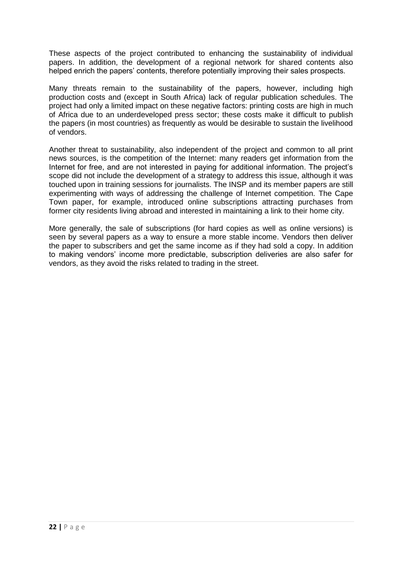These aspects of the project contributed to enhancing the sustainability of individual papers. In addition, the development of a regional network for shared contents also helped enrich the papers' contents, therefore potentially improving their sales prospects.

Many threats remain to the sustainability of the papers, however, including high production costs and (except in South Africa) lack of regular publication schedules. The project had only a limited impact on these negative factors: printing costs are high in much of Africa due to an underdeveloped press sector; these costs make it difficult to publish the papers (in most countries) as frequently as would be desirable to sustain the livelihood of vendors.

Another threat to sustainability, also independent of the project and common to all print news sources, is the competition of the Internet: many readers get information from the Internet for free, and are not interested in paying for additional information. The project's scope did not include the development of a strategy to address this issue, although it was touched upon in training sessions for journalists. The INSP and its member papers are still experimenting with ways of addressing the challenge of Internet competition. The Cape Town paper, for example, introduced online subscriptions attracting purchases from former city residents living abroad and interested in maintaining a link to their home city.

More generally, the sale of subscriptions (for hard copies as well as online versions) is seen by several papers as a way to ensure a more stable income. Vendors then deliver the paper to subscribers and get the same income as if they had sold a copy. In addition to making vendors' income more predictable, subscription deliveries are also safer for vendors, as they avoid the risks related to trading in the street.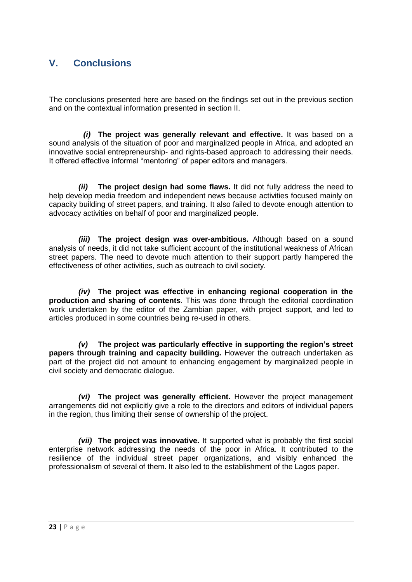## <span id="page-25-0"></span>**V. Conclusions**

The conclusions presented here are based on the findings set out in the previous section and on the contextual information presented in section II.

*(i)* **The project was generally relevant and effective.** It was based on a sound analysis of the situation of poor and marginalized people in Africa, and adopted an innovative social entrepreneurship- and rights-based approach to addressing their needs. It offered effective informal "mentoring" of paper editors and managers.

*(ii)* **The project design had some flaws.** It did not fully address the need to help develop media freedom and independent news because activities focused mainly on capacity building of street papers, and training. It also failed to devote enough attention to advocacy activities on behalf of poor and marginalized people.

*(iii)* **The project design was over-ambitious.** Although based on a sound analysis of needs, it did not take sufficient account of the institutional weakness of African street papers. The need to devote much attention to their support partly hampered the effectiveness of other activities, such as outreach to civil society.

*(iv)* **The project was effective in enhancing regional cooperation in the production and sharing of contents**. This was done through the editorial coordination work undertaken by the editor of the Zambian paper, with project support, and led to articles produced in some countries being re-used in others.

*(v)* **The project was particularly effective in supporting the region's street papers through training and capacity building.** However the outreach undertaken as part of the project did not amount to enhancing engagement by marginalized people in civil society and democratic dialogue.

*(vi)* **The project was generally efficient.** However the project management arrangements did not explicitly give a role to the directors and editors of individual papers in the region, thus limiting their sense of ownership of the project.

*(vii)* **The project was innovative.** It supported what is probably the first social enterprise network addressing the needs of the poor in Africa. It contributed to the resilience of the individual street paper organizations, and visibly enhanced the professionalism of several of them. It also led to the establishment of the Lagos paper.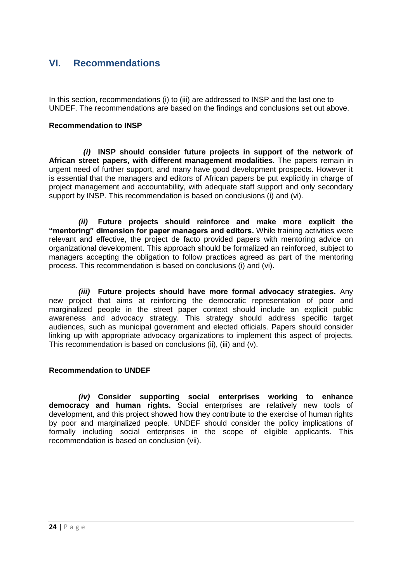## <span id="page-26-0"></span>**VI. Recommendations**

In this section, recommendations (i) to (iii) are addressed to INSP and the last one to UNDEF. The recommendations are based on the findings and conclusions set out above.

### **Recommendation to INSP**

*(i)* **INSP should consider future projects in support of the network of African street papers, with different management modalities.** The papers remain in urgent need of further support, and many have good development prospects. However it is essential that the managers and editors of African papers be put explicitly in charge of project management and accountability, with adequate staff support and only secondary support by INSP. This recommendation is based on conclusions (i) and (vi).

*(ii)* **Future projects should reinforce and make more explicit the "mentoring" dimension for paper managers and editors.** While training activities were relevant and effective, the project de facto provided papers with mentoring advice on organizational development. This approach should be formalized an reinforced, subject to managers accepting the obligation to follow practices agreed as part of the mentoring process. This recommendation is based on conclusions (i) and (vi).

*(iii)* **Future projects should have more formal advocacy strategies.** Any new project that aims at reinforcing the democratic representation of poor and marginalized people in the street paper context should include an explicit public awareness and advocacy strategy. This strategy should address specific target audiences, such as municipal government and elected officials. Papers should consider linking up with appropriate advocacy organizations to implement this aspect of projects. This recommendation is based on conclusions (ii), (iii) and (v).

### **Recommendation to UNDEF**

*(iv)* **Consider supporting social enterprises working to enhance democracy and human rights.** Social enterprises are relatively new tools of development, and this project showed how they contribute to the exercise of human rights by poor and marginalized people. UNDEF should consider the policy implications of formally including social enterprises in the scope of eligible applicants. This recommendation is based on conclusion (vii).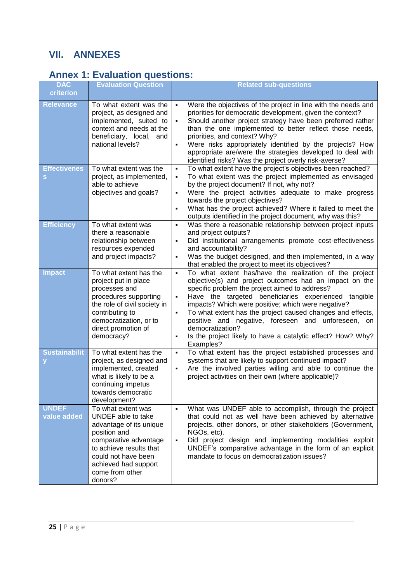# <span id="page-27-0"></span>**VII. ANNEXES**

## <span id="page-27-1"></span>**Annex 1: Evaluation questions:**

| <b>DAC</b>                  | <b>Evaluation Question</b>                                                                                                                                                                                           | <b>Related sub-questions</b>                                                                                                                                                                                                                                                                                                                                                                                                                                                                                                                                                 |
|-----------------------------|----------------------------------------------------------------------------------------------------------------------------------------------------------------------------------------------------------------------|------------------------------------------------------------------------------------------------------------------------------------------------------------------------------------------------------------------------------------------------------------------------------------------------------------------------------------------------------------------------------------------------------------------------------------------------------------------------------------------------------------------------------------------------------------------------------|
| criterion                   |                                                                                                                                                                                                                      |                                                                                                                                                                                                                                                                                                                                                                                                                                                                                                                                                                              |
| <b>Relevance</b>            | To what extent was the<br>project, as designed and<br>implemented, suited to<br>context and needs at the<br>beneficiary, local, and<br>national levels?                                                              | Were the objectives of the project in line with the needs and<br>$\blacksquare$<br>priorities for democratic development, given the context?<br>Should another project strategy have been preferred rather<br>$\blacksquare$<br>than the one implemented to better reflect those needs,<br>priorities, and context? Why?<br>Were risks appropriately identified by the projects? How<br>٠<br>appropriate are/were the strategies developed to deal with<br>identified risks? Was the project overly risk-averse?                                                             |
| <b>Effectivenes</b><br>s    | To what extent was the<br>project, as implemented,<br>able to achieve<br>objectives and goals?                                                                                                                       | To what extent have the project's objectives been reached?<br>$\blacksquare$<br>To what extent was the project implemented as envisaged<br>$\blacksquare$<br>by the project document? If not, why not?<br>Were the project activities adequate to make progress<br>$\blacksquare$<br>towards the project objectives?<br>What has the project achieved? Where it failed to meet the<br>$\blacksquare$<br>outputs identified in the project document, why was this?                                                                                                            |
| <b>Efficiency</b>           | To what extent was<br>there a reasonable<br>relationship between<br>resources expended<br>and project impacts?                                                                                                       | Was there a reasonable relationship between project inputs<br>$\blacksquare$<br>and project outputs?<br>Did institutional arrangements promote cost-effectiveness<br>٠<br>and accountability?<br>Was the budget designed, and then implemented, in a way<br>٠<br>that enabled the project to meet its objectives?                                                                                                                                                                                                                                                            |
| <b>Impact</b>               | To what extent has the<br>project put in place<br>processes and<br>procedures supporting<br>the role of civil society in<br>contributing to<br>democratization, or to<br>direct promotion of<br>democracy?           | To what extent has/have the realization of the project<br>$\blacksquare$<br>objective(s) and project outcomes had an impact on the<br>specific problem the project aimed to address?<br>Have the targeted beneficiaries experienced tangible<br>$\blacksquare$<br>impacts? Which were positive; which were negative?<br>To what extent has the project caused changes and effects,<br>$\blacksquare$<br>positive and negative, foreseen and unforeseen, on<br>democratization?<br>Is the project likely to have a catalytic effect? How? Why?<br>$\blacksquare$<br>Examples? |
| <b>Sustainabilit</b>        | To what extent has the<br>project, as designed and<br>implemented, created<br>what is likely to be a<br>continuing impetus<br>towards democratic<br>development?                                                     | To what extent has the project established processes and<br>$\blacksquare$<br>systems that are likely to support continued impact?<br>Are the involved parties willing and able to continue the<br>٠<br>project activities on their own (where applicable)?                                                                                                                                                                                                                                                                                                                  |
| <b>UNDEF</b><br>value added | To what extent was<br>UNDEF able to take<br>advantage of its unique<br>position and<br>comparative advantage<br>to achieve results that<br>could not have been<br>achieved had support<br>come from other<br>donors? | What was UNDEF able to accomplish, through the project<br>$\blacksquare$<br>that could not as well have been achieved by alternative<br>projects, other donors, or other stakeholders (Government,<br>NGOs, etc).<br>Did project design and implementing modalities exploit<br>$\blacksquare$<br>UNDEF's comparative advantage in the form of an explicit<br>mandate to focus on democratization issues?                                                                                                                                                                     |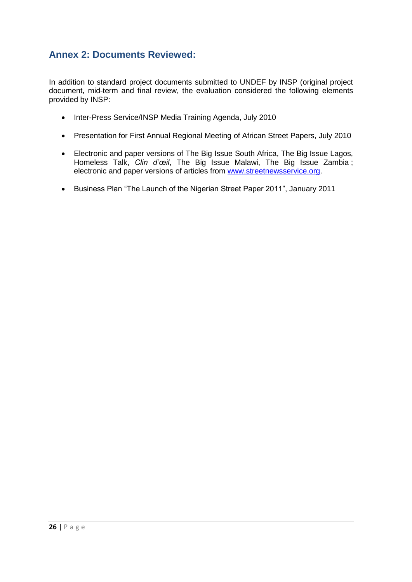## <span id="page-28-0"></span>**Annex 2: Documents Reviewed:**

In addition to standard project documents submitted to UNDEF by INSP (original project document, mid-term and final review, the evaluation considered the following elements provided by INSP:

- Inter-Press Service/INSP Media Training Agenda, July 2010
- Presentation for First Annual Regional Meeting of African Street Papers, July 2010
- Electronic and paper versions of The Big Issue South Africa, The Big Issue Lagos, Homeless Talk, *Clin d'œil*, The Big Issue Malawi, The Big Issue Zambia ; electronic and paper versions of articles from [www.streetnewsservice.org.](http://www.streetnewsservice.org/)
- Business Plan "The Launch of the Nigerian Street Paper 2011", January 2011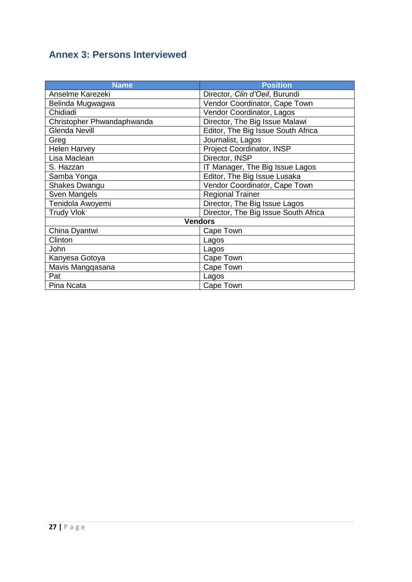# <span id="page-29-0"></span>**Annex 3: Persons Interviewed**

| <b>Name</b>                | <b>Position</b>                      |  |  |  |
|----------------------------|--------------------------------------|--|--|--|
| Anselme Karezeki           | Director, Clin d'Oeil, Burundi       |  |  |  |
| Belinda Mugwagwa           | Vendor Coordinator, Cape Town        |  |  |  |
| Chidiadi                   | Vendor Coordinator, Lagos            |  |  |  |
| Christopher Phwandaphwanda | Director, The Big Issue Malawi       |  |  |  |
| <b>Glenda Nevill</b>       | Editor, The Big Issue South Africa   |  |  |  |
| Greg                       | Journalist, Lagos                    |  |  |  |
| <b>Helen Harvey</b>        | Project Coordinator, INSP            |  |  |  |
| Lisa Maclean               | Director, INSP                       |  |  |  |
| S. Hazzan                  | IT Manager, The Big Issue Lagos      |  |  |  |
| Samba Yonga                | Editor, The Big Issue Lusaka         |  |  |  |
| <b>Shakes Dwangu</b>       | Vendor Coordinator, Cape Town        |  |  |  |
| Sven Mangels               | <b>Regional Trainer</b>              |  |  |  |
| Tenidola Awoyemi           | Director, The Big Issue Lagos        |  |  |  |
| <b>Trudy Vlok</b>          | Director, The Big Issue South Africa |  |  |  |
| <b>Vendors</b>             |                                      |  |  |  |
| China Dyantwi              | Cape Town                            |  |  |  |
| Clinton                    | Lagos                                |  |  |  |
| John                       | Lagos                                |  |  |  |
| Kanyesa Gotoya             | Cape Town                            |  |  |  |
| Mavis Mangqasana           | Cape Town                            |  |  |  |
| Pat                        | Lagos                                |  |  |  |
| Pina Ncata                 | Cape Town                            |  |  |  |